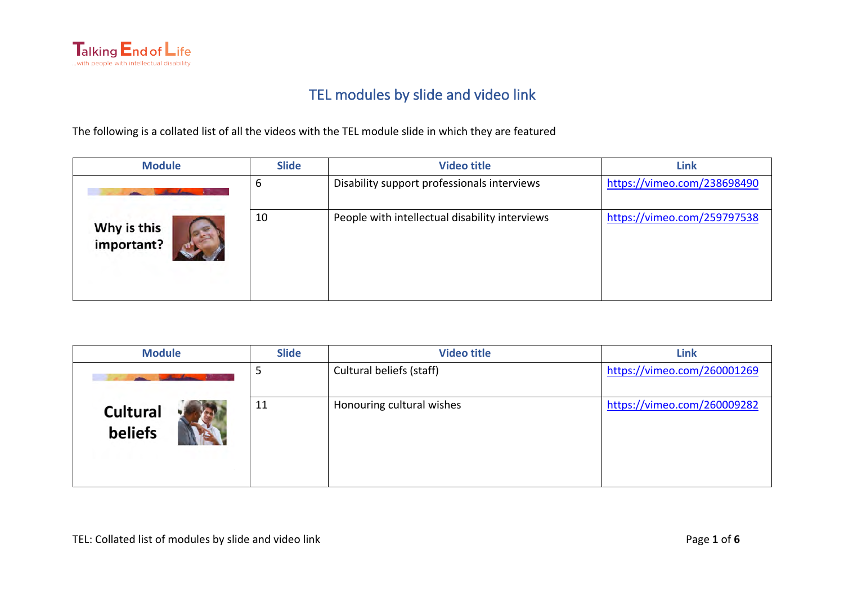

## TEL modules by slide and video link

The following is a collated list of all the videos with the TEL module slide in which they are featured

| <b>Module</b>             | <b>Slide</b> | <b>Video title</b>                             | <b>Link</b>                 |
|---------------------------|--------------|------------------------------------------------|-----------------------------|
|                           | b            | Disability support professionals interviews    | https://vimeo.com/238698490 |
| Why is this<br>important? | 10           | People with intellectual disability interviews | https://vimeo.com/259797538 |

| <b>Module</b>              | <b>Slide</b> | <b>Video title</b>        | <b>Link</b>                 |
|----------------------------|--------------|---------------------------|-----------------------------|
|                            |              | Cultural beliefs (staff)  | https://vimeo.com/260001269 |
| <b>Cultural</b><br>beliefs | 11           | Honouring cultural wishes | https://vimeo.com/260009282 |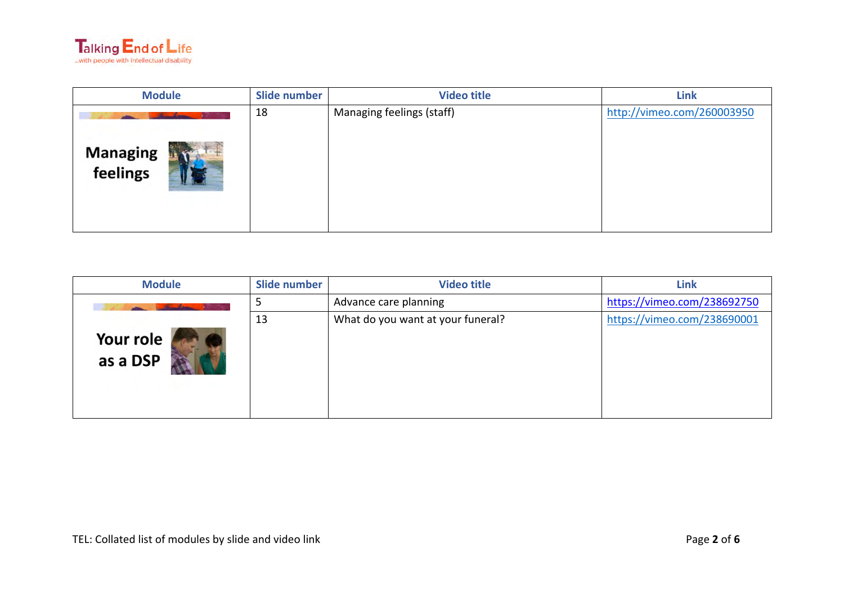

| <b>Module</b>               | Slide number | <b>Video title</b>        | <b>Link</b>                |
|-----------------------------|--------------|---------------------------|----------------------------|
| <b>Managing</b><br>feelings | 18           | Managing feelings (staff) | http://vimeo.com/260003950 |
|                             |              |                           |                            |

| <b>Module</b>         | Slide number | <b>Video title</b>                | <b>Link</b>                 |
|-----------------------|--------------|-----------------------------------|-----------------------------|
|                       |              | Advance care planning             | https://vimeo.com/238692750 |
| Your role<br>as a DSP | 13           | What do you want at your funeral? | https://vimeo.com/238690001 |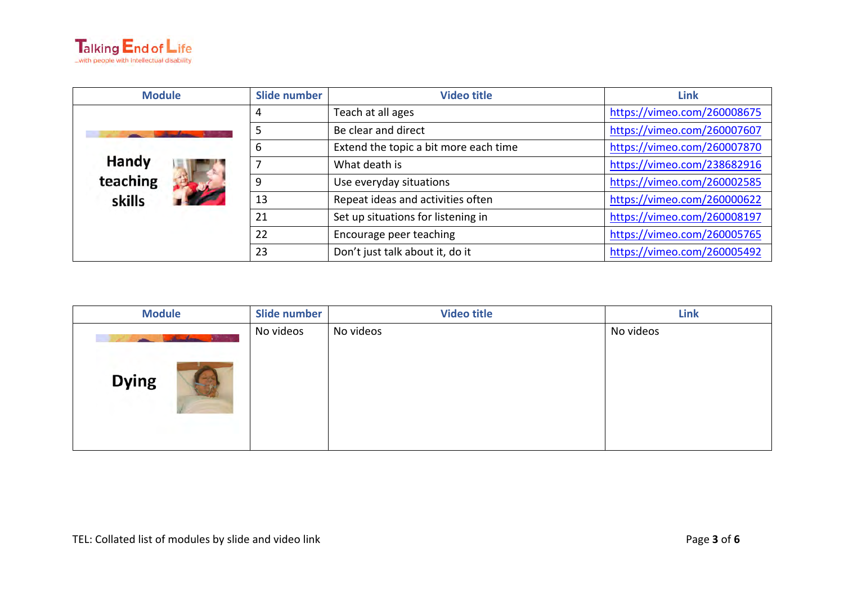

| <b>Module</b>      | Slide number | <b>Video title</b>                    | <b>Link</b>                 |
|--------------------|--------------|---------------------------------------|-----------------------------|
|                    | 4            | Teach at all ages                     | https://vimeo.com/260008675 |
|                    | 5            | Be clear and direct                   | https://vimeo.com/260007607 |
|                    | 6            | Extend the topic a bit more each time | https://vimeo.com/260007870 |
| Handy              |              | What death is                         | https://vimeo.com/238682916 |
| teaching<br>skills | 9            | Use everyday situations               | https://vimeo.com/260002585 |
|                    | 13           | Repeat ideas and activities often     | https://vimeo.com/260000622 |
|                    | 21           | Set up situations for listening in    | https://vimeo.com/260008197 |
|                    | 22           | Encourage peer teaching               | https://vimeo.com/260005765 |
|                    | 23           | Don't just talk about it, do it       | https://vimeo.com/260005492 |

| <b>Module</b>              | Slide number | <b>Video title</b> | <b>Link</b> |
|----------------------------|--------------|--------------------|-------------|
| don the vi<br><b>Dying</b> | No videos    | No videos          | No videos   |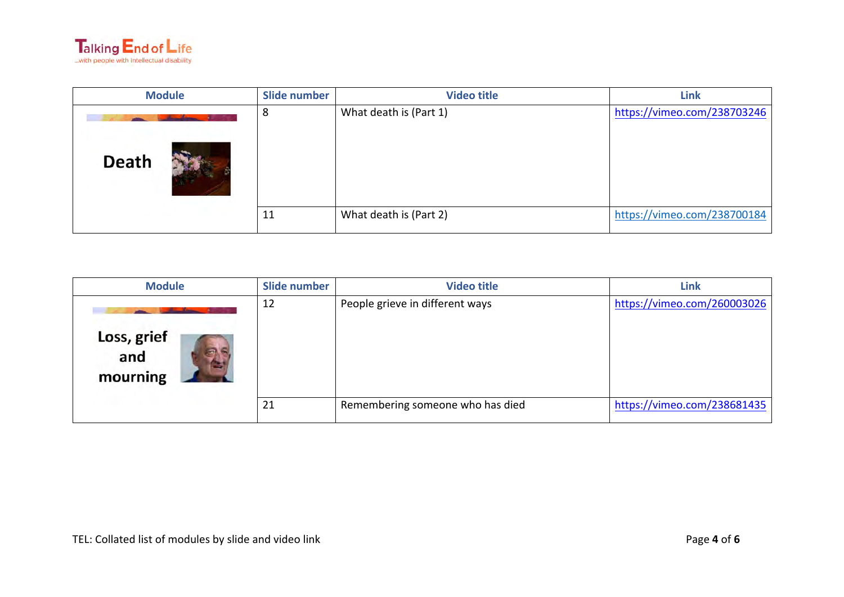

| <b>Module</b> | Slide number | <b>Video title</b>     | <b>Link</b>                 |
|---------------|--------------|------------------------|-----------------------------|
| <b>Death</b>  | 8            | What death is (Part 1) | https://vimeo.com/238703246 |
|               | 11           | What death is (Part 2) | https://vimeo.com/238700184 |

| <b>Module</b>                  | Slide number | <b>Video title</b>               | <b>Link</b>                 |
|--------------------------------|--------------|----------------------------------|-----------------------------|
| Loss, grief<br>and<br>mourning | 12           | People grieve in different ways  | https://vimeo.com/260003026 |
|                                | 21           | Remembering someone who has died | https://vimeo.com/238681435 |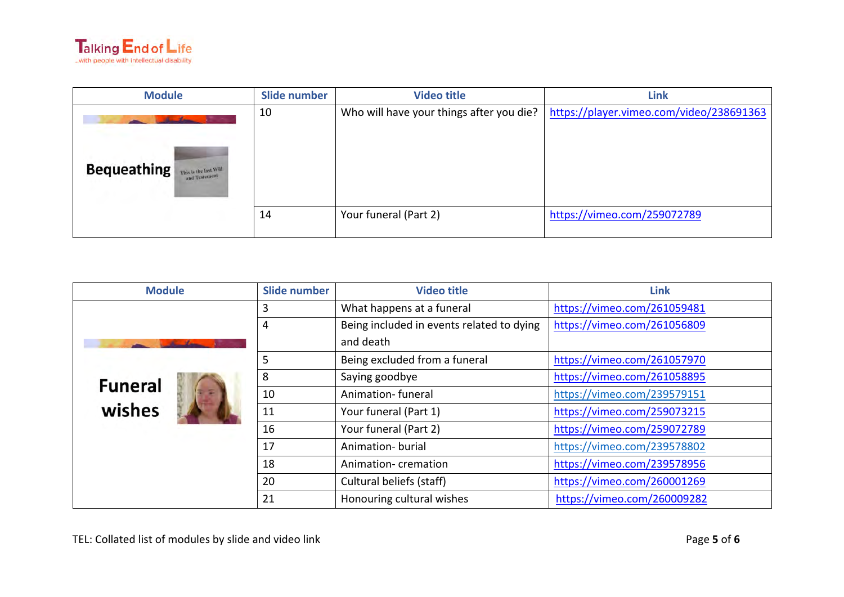

| <b>Module</b>                                                | Slide number | <b>Video title</b>                       | <b>Link</b>                              |
|--------------------------------------------------------------|--------------|------------------------------------------|------------------------------------------|
| <b>Bequeathing</b><br>This is the last Will<br>and Testament | 10           | Who will have your things after you die? | https://player.vimeo.com/video/238691363 |
|                                                              | 14           | Your funeral (Part 2)                    | https://vimeo.com/259072789              |

| <b>Module</b>  | Slide number | <b>Video title</b>                        | <b>Link</b>                 |
|----------------|--------------|-------------------------------------------|-----------------------------|
|                | 3            | What happens at a funeral                 | https://vimeo.com/261059481 |
|                | 4            | Being included in events related to dying | https://vimeo.com/261056809 |
|                |              | and death                                 |                             |
|                | 5            | Being excluded from a funeral             | https://vimeo.com/261057970 |
| <b>Funeral</b> | 8            | Saying goodbye                            | https://vimeo.com/261058895 |
|                | 10           | Animation-funeral                         | https://vimeo.com/239579151 |
| wishes         | 11           | Your funeral (Part 1)                     | https://vimeo.com/259073215 |
|                | 16           | Your funeral (Part 2)                     | https://vimeo.com/259072789 |
|                | 17           | Animation- burial                         | https://vimeo.com/239578802 |
|                | 18           | Animation-cremation                       | https://vimeo.com/239578956 |
|                | 20           | Cultural beliefs (staff)                  | https://vimeo.com/260001269 |
|                | 21           | Honouring cultural wishes                 | https://vimeo.com/260009282 |